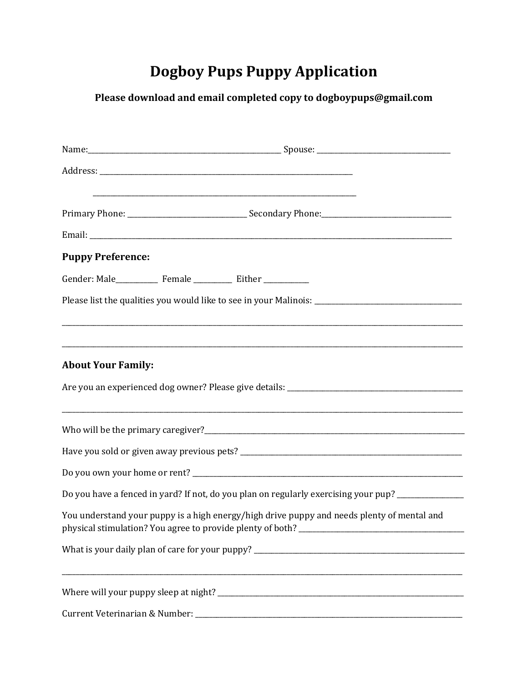## **Dogboy Pups Puppy Application**

## Please download and email completed copy to dogboypups@gmail.com

| <b>Puppy Preference:</b>  |                                                                                                      |
|---------------------------|------------------------------------------------------------------------------------------------------|
|                           |                                                                                                      |
|                           | Please list the qualities you would like to see in your Malinois: __________________________________ |
|                           |                                                                                                      |
| <b>About Your Family:</b> | ,我们也不会有什么。""我们的人,我们也不会有什么?""我们的人,我们也不会有什么?""我们的人,我们也不会有什么?""我们的人,我们也不会有什么?""我们的人                     |
|                           |                                                                                                      |
|                           |                                                                                                      |
|                           |                                                                                                      |
|                           | Do you have a fenced in yard? If not, do you plan on regularly exercising your pup? _____________    |
|                           | You understand your puppy is a high energy/high drive puppy and needs plenty of mental and           |
|                           |                                                                                                      |
|                           |                                                                                                      |
|                           |                                                                                                      |
|                           |                                                                                                      |